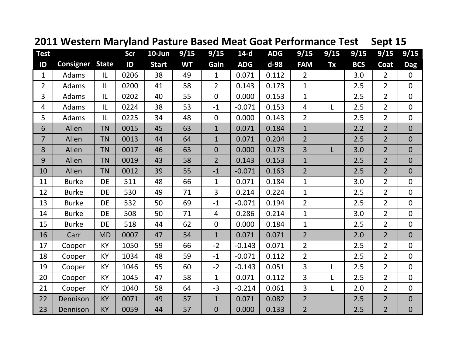| <b>Test</b>    |                  |              | Scr  | $10$ -Jun    | 9/15      | 9/15           | $14-d$     | <b>ADG</b> | 9/15           | 9/15         | 9/15       | 9/15           | 9/15           |
|----------------|------------------|--------------|------|--------------|-----------|----------------|------------|------------|----------------|--------------|------------|----------------|----------------|
| ID             | <b>Consigner</b> | <b>State</b> | ID   | <b>Start</b> | <b>WT</b> | Gain           | <b>ADG</b> | $d-98$     | <b>FAM</b>     | <b>Tx</b>    | <b>BCS</b> | Coat           | <b>Dag</b>     |
| 1              | Adams            | IL           | 0206 | 38           | 49        | $\mathbf{1}$   | 0.071      | 0.112      | $\overline{2}$ |              | 3.0        | $\overline{2}$ | $\mathbf 0$    |
| $\overline{2}$ | Adams            | IL           | 0200 | 41           | 58        | $\overline{2}$ | 0.143      | 0.173      | $\mathbf{1}$   |              | 2.5        | $\overline{2}$ | $\mathbf{0}$   |
| 3              | Adams            | IL           | 0202 | 40           | 55        | $\overline{0}$ | 0.000      | 0.153      | $\mathbf{1}$   |              | 2.5        | $\overline{2}$ | $\overline{0}$ |
| $\overline{4}$ | Adams            | IL           | 0224 | 38           | 53        | $-1$           | $-0.071$   | 0.153      | $\overline{4}$ | L            | 2.5        | $\overline{2}$ | $\mathbf 0$    |
| 5              | Adams            | IL           | 0225 | 34           | 48        | $\overline{0}$ | 0.000      | 0.143      | $\overline{2}$ |              | 2.5        | $\overline{2}$ | $\overline{0}$ |
| 6              | Allen            | <b>TN</b>    | 0015 | 45           | 63        | $\mathbf{1}$   | 0.071      | 0.184      | $\mathbf{1}$   |              | 2.2        | $\overline{2}$ | $\overline{0}$ |
| $\overline{7}$ | Allen            | <b>TN</b>    | 0013 | 44           | 64        | $\mathbf{1}$   | 0.071      | 0.204      | $\overline{2}$ |              | 2.5        | $\overline{2}$ | $\mathbf 0$    |
| 8              | Allen            | <b>TN</b>    | 0017 | 46           | 63        | $\overline{0}$ | 0.000      | 0.173      | 3              | $\mathsf{L}$ | 3.0        | $\overline{2}$ | $\overline{0}$ |
| 9              | Allen            | <b>TN</b>    | 0019 | 43           | 58        | $\overline{2}$ | 0.143      | 0.153      | $\mathbf{1}$   |              | 2.5        | $\overline{2}$ | $\overline{0}$ |
| 10             | Allen            | <b>TN</b>    | 0012 | 39           | 55        | $-1$           | $-0.071$   | 0.163      | $\overline{2}$ |              | 2.5        | $\overline{2}$ | $\overline{0}$ |
| 11             | <b>Burke</b>     | DE           | 511  | 48           | 66        | $\mathbf{1}$   | 0.071      | 0.184      | $\mathbf{1}$   |              | 3.0        | $\overline{2}$ | $\overline{0}$ |
| 12             | <b>Burke</b>     | <b>DE</b>    | 530  | 49           | 71        | $\overline{3}$ | 0.214      | 0.224      | $\mathbf{1}$   |              | 2.5        | $\overline{2}$ | $\overline{0}$ |
| 13             | <b>Burke</b>     | <b>DE</b>    | 532  | 50           | 69        | $-1$           | $-0.071$   | 0.194      | $\overline{2}$ |              | 2.5        | $\overline{2}$ | $\mathbf{0}$   |
| 14             | <b>Burke</b>     | <b>DE</b>    | 508  | 50           | 71        | $\overline{4}$ | 0.286      | 0.214      | $\mathbf{1}$   |              | 3.0        | $\overline{2}$ | $\mathbf 0$    |
| 15             | <b>Burke</b>     | DE           | 518  | 44           | 62        | $\overline{0}$ | 0.000      | 0.184      | $\mathbf{1}$   |              | 2.5        | $\overline{2}$ | $\mathbf 0$    |
| 16             | Carr             | <b>MD</b>    | 0007 | 47           | 54        | $\mathbf{1}$   | 0.071      | 0.071      | $\overline{2}$ |              | 2.0        | $\overline{2}$ | $\overline{0}$ |
| 17             | Cooper           | <b>KY</b>    | 1050 | 59           | 66        | $-2$           | $-0.143$   | 0.071      | $\overline{2}$ |              | 2.5        | $2^{\circ}$    | $\mathbf 0$    |
| 18             | Cooper           | <b>KY</b>    | 1034 | 48           | 59        | $-1$           | $-0.071$   | 0.112      | $\overline{2}$ |              | 2.5        | $\overline{2}$ | $\overline{0}$ |
| 19             | Cooper           | KY           | 1046 | 55           | 60        | $-2$           | $-0.143$   | 0.051      | $\overline{3}$ | L            | 2.5        | $\overline{2}$ | $\mathbf 0$    |
| 20             | Cooper           | <b>KY</b>    | 1045 | 47           | 58        | $\mathbf{1}$   | 0.071      | 0.112      | 3              | L            | 2.5        | $\overline{2}$ | $\mathbf 0$    |
| 21             | Cooper           | <b>KY</b>    | 1040 | 58           | 64        | $-3$           | $-0.214$   | 0.061      | $\overline{3}$ | L            | 2.0        | $\overline{2}$ | $\overline{0}$ |
| 22             | Dennison         | <b>KY</b>    | 0071 | 49           | 57        | $\mathbf{1}$   | 0.071      | 0.082      | $\overline{2}$ |              | 2.5        | $\overline{2}$ | $\overline{0}$ |
| 23             | Dennison         | <b>KY</b>    | 0059 | 44           | 57        | $\overline{0}$ | 0.000      | 0.133      | $\overline{2}$ |              | 2.5        | $\overline{2}$ | $\overline{0}$ |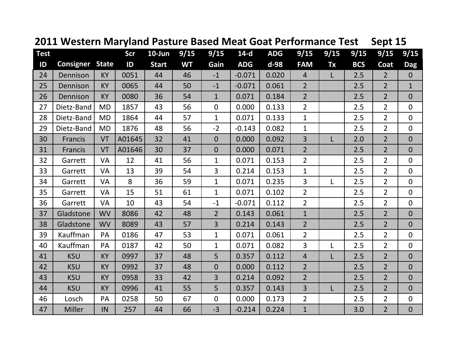| <b>Test</b> |                  |              | Scr    | $10$ -Jun    | 9/15      | 9/15           | $14-d$     | <b>ADG</b> | 9/15           | 9/15 | 9/15       | 9/15             | 9/15           |
|-------------|------------------|--------------|--------|--------------|-----------|----------------|------------|------------|----------------|------|------------|------------------|----------------|
| ID          | <b>Consigner</b> | <b>State</b> | ID     | <b>Start</b> | <b>WT</b> | Gain           | <b>ADG</b> | $d-98$     | <b>FAM</b>     | Tx   | <b>BCS</b> | Coat             | <b>Dag</b>     |
| 24          | Dennison         | <b>KY</b>    | 0051   | 44           | 46        | $-1$           | $-0.071$   | 0.020      | $\overline{4}$ | L    | 2.5        | 2 <sup>2</sup>   | $\mathbf{0}$   |
| 25          | Dennison         | <b>KY</b>    | 0065   | 44           | 50        | $-1$           | $-0.071$   | 0.061      | $\overline{2}$ |      | 2.5        | $2 \overline{ }$ | $\mathbf{1}$   |
| 26          | Dennison         | KY           | 0080   | 36           | 54        | $\mathbf{1}$   | 0.071      | 0.184      | $\overline{2}$ |      | 2.5        | $\overline{2}$   | $\overline{0}$ |
| 27          | Dietz-Band       | <b>MD</b>    | 1857   | 43           | 56        | 0              | 0.000      | 0.133      | $\overline{2}$ |      | 2.5        | $\overline{2}$   | $\overline{0}$ |
| 28          | Dietz-Band       | <b>MD</b>    | 1864   | 44           | 57        | $\mathbf 1$    | 0.071      | 0.133      | $\mathbf{1}$   |      | 2.5        | $\overline{2}$   | $\mathbf 0$    |
| 29          | Dietz-Band       | <b>MD</b>    | 1876   | 48           | 56        | $-2$           | $-0.143$   | 0.082      | $\mathbf{1}$   |      | 2.5        | $\overline{2}$   | $\mathbf 0$    |
| 30          | <b>Francis</b>   | VT           | A01645 | 32           | 41        | $\overline{0}$ | 0.000      | 0.092      | 3              | L    | 2.0        | $\overline{2}$   | $\overline{0}$ |
| 31          | Francis          | VT           | A01646 | 30           | 37        | $\overline{0}$ | 0.000      | 0.071      | $\overline{2}$ |      | 2.5        | $\overline{2}$   | $\overline{0}$ |
| 32          | Garrett          | <b>VA</b>    | 12     | 41           | 56        | $\mathbf{1}$   | 0.071      | 0.153      | $\overline{2}$ |      | 2.5        | $\overline{2}$   | $\mathbf 0$    |
| 33          | Garrett          | <b>VA</b>    | 13     | 39           | 54        | $\overline{3}$ | 0.214      | 0.153      | $\mathbf{1}$   |      | 2.5        | $\overline{2}$   | $\mathbf 0$    |
| 34          | Garrett          | <b>VA</b>    | 8      | 36           | 59        | $\mathbf{1}$   | 0.071      | 0.235      | $\overline{3}$ | L    | 2.5        | $\overline{2}$   | $\mathbf 0$    |
| 35          | Garrett          | <b>VA</b>    | 15     | 51           | 61        | $\mathbf{1}$   | 0.071      | 0.102      | $\overline{2}$ |      | 2.5        | $\overline{2}$   | $\mathbf 0$    |
| 36          | Garrett          | <b>VA</b>    | 10     | 43           | 54        | $-1$           | $-0.071$   | 0.112      | $\overline{2}$ |      | 2.5        | $\overline{2}$   | $\mathbf 0$    |
| 37          | Gladstone        | <b>WV</b>    | 8086   | 42           | 48        | $\overline{2}$ | 0.143      | 0.061      | $\mathbf{1}$   |      | 2.5        | $2^{\circ}$      | $\overline{0}$ |
| 38          | Gladstone        | <b>WV</b>    | 8089   | 43           | 57        | $\overline{3}$ | 0.214      | 0.143      | $\overline{2}$ |      | 2.5        | $\overline{2}$   | $\overline{0}$ |
| 39          | Kauffman         | PA           | 0186   | 47           | 53        | $\mathbf{1}$   | 0.071      | 0.061      | $\overline{2}$ |      | 2.5        | $\overline{2}$   | $\mathbf 0$    |
| 40          | Kauffman         | PA           | 0187   | 42           | 50        | $\mathbf{1}$   | 0.071      | 0.082      | $\overline{3}$ | L    | 2.5        | $2^{\circ}$      | $\mathbf 0$    |
| 41          | <b>KSU</b>       | <b>KY</b>    | 0997   | 37           | 48        | 5              | 0.357      | 0.112      | $\overline{4}$ | L    | 2.5        | $\overline{2}$   | $\overline{0}$ |
| 42          | <b>KSU</b>       | KY           | 0992   | 37           | 48        | $\overline{0}$ | 0.000      | 0.112      | $\overline{2}$ |      | 2.5        | $\overline{2}$   | $\overline{0}$ |
| 43          | <b>KSU</b>       | <b>KY</b>    | 0958   | 33           | 42        | 3              | 0.214      | 0.092      | $\overline{2}$ |      | 2.5        | $\overline{2}$   | $\overline{0}$ |
| 44          | <b>KSU</b>       | KY           | 0996   | 41           | 55        | 5              | 0.357      | 0.143      | 3              | L    | 2.5        | $\overline{2}$   | $\overline{0}$ |
| 46          | Losch            | PA           | 0258   | 50           | 67        | $\overline{0}$ | 0.000      | 0.173      | $\overline{2}$ |      | 2.5        | $\overline{2}$   | $\mathbf 0$    |
| 47          | Miller           | IN           | 257    | 44           | 66        | $-3$           | $-0.214$   | 0.224      | $\mathbf{1}$   |      | 3.0        | $\overline{2}$   | $\overline{0}$ |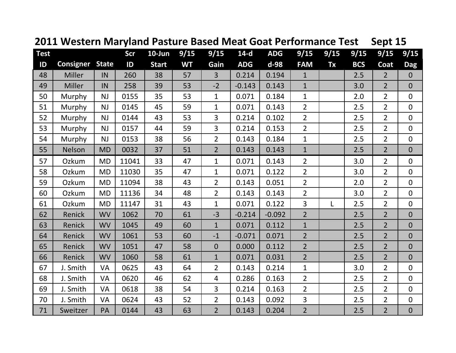| <b>Test</b> |                  |              | Scr   | $10$ -Jun    | 9/15      | 9/15           | $14-d$     | <b>ADG</b> | 9/15           | 9/15      | 9/15       | 9/15           | 9/15           |
|-------------|------------------|--------------|-------|--------------|-----------|----------------|------------|------------|----------------|-----------|------------|----------------|----------------|
| ID          | <b>Consigner</b> | <b>State</b> | ID    | <b>Start</b> | <b>WT</b> | Gain           | <b>ADG</b> | d-98       | <b>FAM</b>     | <b>Tx</b> | <b>BCS</b> | Coat           | <b>Dag</b>     |
| 48          | Miller           | IN           | 260   | 38           | 57        | 3              | 0.214      | 0.194      | $\mathbf{1}$   |           | 2.5        | $2^{\circ}$    | $\mathbf{0}$   |
| 49          | Miller           | IN           | 258   | 39           | 53        | $-2$           | $-0.143$   | 0.143      | $\mathbf{1}$   |           | 3.0        | $\overline{2}$ | $\overline{0}$ |
| 50          | Murphy           | <b>NJ</b>    | 0155  | 35           | 53        | $\mathbf{1}$   | 0.071      | 0.184      | $\mathbf{1}$   |           | 2.0        | $\overline{2}$ | $\mathbf 0$    |
| 51          | Murphy           | <b>NJ</b>    | 0145  | 45           | 59        | $\mathbf 1$    | 0.071      | 0.143      | $\overline{2}$ |           | 2.5        | $\overline{2}$ | $\mathbf 0$    |
| 52          | Murphy           | <b>NJ</b>    | 0144  | 43           | 53        | 3              | 0.214      | 0.102      | $\overline{2}$ |           | 2.5        | $\overline{2}$ | $\mathbf 0$    |
| 53          | Murphy           | <b>NJ</b>    | 0157  | 44           | 59        | $\overline{3}$ | 0.214      | 0.153      | $\overline{2}$ |           | 2.5        | $\overline{2}$ | $\mathbf 0$    |
| 54          | Murphy           | <b>NJ</b>    | 0153  | 38           | 56        | $\overline{2}$ | 0.143      | 0.184      | $\mathbf{1}$   |           | 2.5        | $\overline{2}$ | $\mathbf 0$    |
| 55          | Nelson           | <b>MD</b>    | 0032  | 37           | 51        | $\overline{2}$ | 0.143      | 0.143      | $\mathbf{1}$   |           | 2.5        | $\overline{2}$ | $\overline{0}$ |
| 57          | Ozkum            | <b>MD</b>    | 11041 | 33           | 47        | $\mathbf{1}$   | 0.071      | 0.143      | $\overline{2}$ |           | 3.0        | $\overline{2}$ | $\mathbf 0$    |
| 58          | Ozkum            | <b>MD</b>    | 11030 | 35           | 47        | $\mathbf{1}$   | 0.071      | 0.122      | $\overline{2}$ |           | 3.0        | $\overline{2}$ | $\mathbf 0$    |
| 59          | Ozkum            | <b>MD</b>    | 11094 | 38           | 43        | $\overline{2}$ | 0.143      | 0.051      | $\overline{2}$ |           | 2.0        | $\overline{2}$ | $\overline{0}$ |
| 60          | Ozkum            | <b>MD</b>    | 11136 | 34           | 48        | $\overline{2}$ | 0.143      | 0.143      | $\overline{2}$ |           | 3.0        | $\overline{2}$ | $\mathbf 0$    |
| 61          | Ozkum            | <b>MD</b>    | 11147 | 31           | 43        | $\mathbf{1}$   | 0.071      | 0.122      | $\overline{3}$ | L         | 2.5        | $\overline{2}$ | $\mathbf 0$    |
| 62          | Renick           | <b>WV</b>    | 1062  | 70           | 61        | $-3$           | $-0.214$   | $-0.092$   | $\overline{2}$ |           | 2.5        | $\overline{2}$ | $\overline{0}$ |
| 63          | Renick           | <b>WV</b>    | 1045  | 49           | 60        | $\mathbf{1}$   | 0.071      | 0.112      | $\mathbf{1}$   |           | 2.5        | $2^{\circ}$    | $\overline{0}$ |
| 64          | Renick           | <b>WV</b>    | 1061  | 53           | 60        | $-1$           | $-0.071$   | 0.071      | $\overline{2}$ |           | 2.5        | $\overline{2}$ | $\overline{0}$ |
| 65          | Renick           | <b>WV</b>    | 1051  | 47           | 58        | $\overline{0}$ | 0.000      | 0.112      | $\overline{2}$ |           | 2.5        | $\overline{2}$ | $\mathbf 0$    |
| 66          | Renick           | <b>WV</b>    | 1060  | 58           | 61        | $\mathbf{1}$   | 0.071      | 0.031      | $\overline{2}$ |           | 2.5        | $2^{\circ}$    | $\overline{0}$ |
| 67          | J. Smith         | <b>VA</b>    | 0625  | 43           | 64        | $\overline{2}$ | 0.143      | 0.214      | $\mathbf{1}$   |           | 3.0        | $\overline{2}$ | $\mathbf 0$    |
| 68          | J. Smith         | <b>VA</b>    | 0620  | 46           | 62        | $\overline{4}$ | 0.286      | 0.163      | $\overline{2}$ |           | 2.5        | $\overline{2}$ | $\mathbf 0$    |
| 69          | J. Smith         | VA           | 0618  | 38           | 54        | $\overline{3}$ | 0.214      | 0.163      | $\overline{2}$ |           | 2.5        | $\overline{2}$ | $\mathbf 0$    |
| 70          | J. Smith         | <b>VA</b>    | 0624  | 43           | 52        | $\overline{2}$ | 0.143      | 0.092      | $\overline{3}$ |           | 2.5        | $\overline{2}$ | $\mathbf 0$    |
| 71          | Sweitzer         | PA           | 0144  | 43           | 63        | $\overline{2}$ | 0.143      | 0.204      | $\overline{2}$ |           | 2.5        | $\overline{2}$ | $\mathbf 0$    |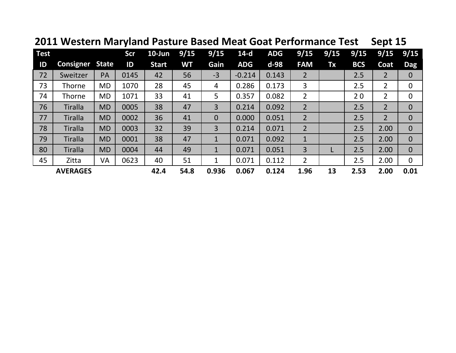| <b>Test</b> |                  |              | <b>Scr</b> | $10$ -Jun    | 9/15 | 9/15           | $14-d$     | <b>ADG</b> | 9/15           | 9/15 | 9/15       | 9/15           | 9/15           |
|-------------|------------------|--------------|------------|--------------|------|----------------|------------|------------|----------------|------|------------|----------------|----------------|
| ID          | <b>Consigner</b> | <b>State</b> | ID         | <b>Start</b> | WT   | Gain           | <b>ADG</b> | d-98       | <b>FAM</b>     | Tx   | <b>BCS</b> | Coat           | <b>Dag</b>     |
| 72          | Sweitzer         | PA           | 0145       | 42           | 56   | $-3$           | $-0.214$   | 0.143      | $\overline{2}$ |      | 2.5        | $\overline{2}$ | $\mathbf 0$    |
| 73          | <b>Thorne</b>    | <b>MD</b>    | 1070       | 28           | 45   | 4              | 0.286      | 0.173      | 3              |      | 2.5        | 2              | 0              |
| 74          | <b>Thorne</b>    | <b>MD</b>    | 1071       | 33           | 41   | 5              | 0.357      | 0.082      | 2              |      | 20         | 2              | 0              |
| 76          | <b>Tiralla</b>   | <b>MD</b>    | 0005       | 38           | 47   | 3              | 0.214      | 0.092      | $\overline{2}$ |      | 2.5        | $\overline{2}$ | $\mathbf 0$    |
| 77          | <b>Tiralla</b>   | <b>MD</b>    | 0002       | 36           | 41   | $\overline{0}$ | 0.000      | 0.051      | $\overline{2}$ |      | 2.5        | $\overline{2}$ | $\overline{0}$ |
| 78          | <b>Tiralla</b>   | <b>MD</b>    | 0003       | 32           | 39   | 3              | 0.214      | 0.071      | $\overline{2}$ |      | 2.5        | 2.00           | $\overline{0}$ |
| 79          | <b>Tiralla</b>   | <b>MD</b>    | 0001       | 38           | 47   | $\mathbf{1}$   | 0.071      | 0.092      | $\mathbf 1$    |      | 2.5        | 2.00           | $\overline{0}$ |
| 80          | <b>Tiralla</b>   | <b>MD</b>    | 0004       | 44           | 49   | $\mathbf{1}$   | 0.071      | 0.051      | 3              |      | 2.5        | 2.00           | $\overline{0}$ |
| 45          | Zitta            | VA           | 0623       | 40           | 51   | 1              | 0.071      | 0.112      | $\overline{2}$ |      | 2.5        | 2.00           | $\overline{0}$ |
|             | <b>AVERAGES</b>  |              |            | 42.4         | 54.8 | 0.936          | 0.067      | 0.124      | 1.96           | 13   | 2.53       | 2.00           | 0.01           |